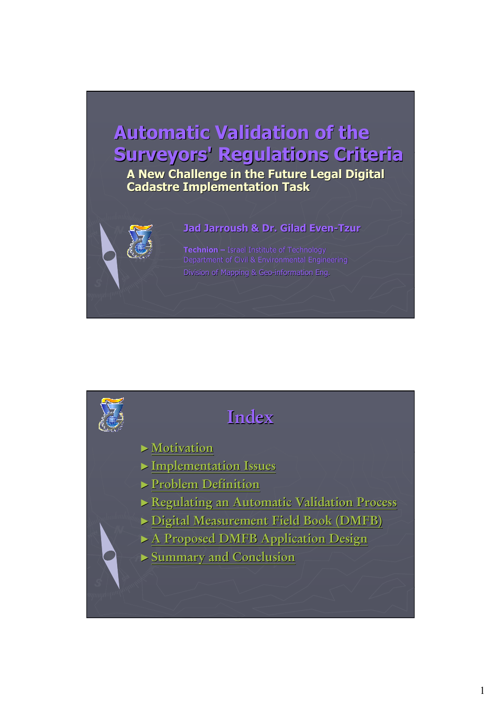# **Automatic Validation of the Surveyors' Regulations Criteria Surveyors' Regulations Criteria**

**A New Challenge in the Future Legal Digital A New Challenge in the Future Legal Digital Cadastre Implementation Task Cadastre Implementation Task** 



**Technion – Israel Institute of Technology** Department of Civil & Environmental Engineering Division of Mapping & Geo-information Eng.

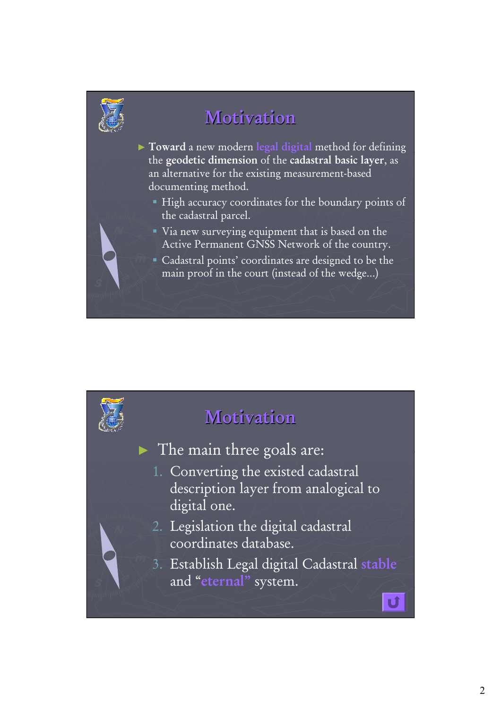

# **Motivation Motivation**

- ► **Toward** a new modern **legal digital** method for defining the **geodetic dimension** of the **cadastral basic layer**, as an alternative for the existing measurement-based documenting method.
	- High accuracy coordinates for the boundary points of the cadastral parcel.
	- Via new surveying equipment that is based on the Active Permanent GNSS Network of the country.
	- Cadastral points' coordinates are designed to be the main proof in the court (instead of the wedge…)

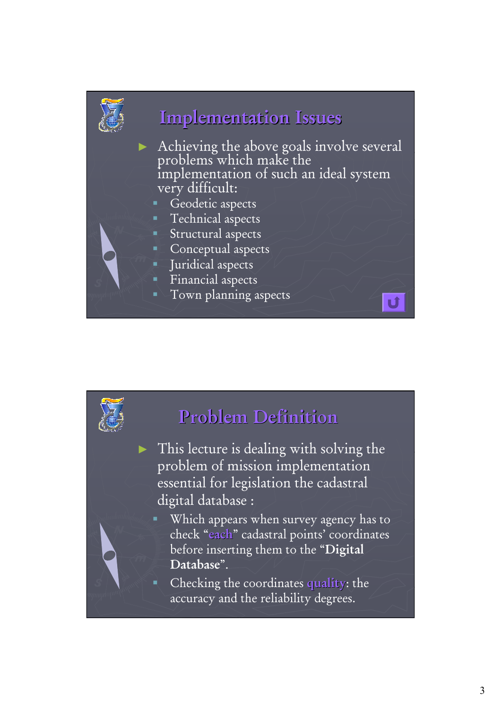

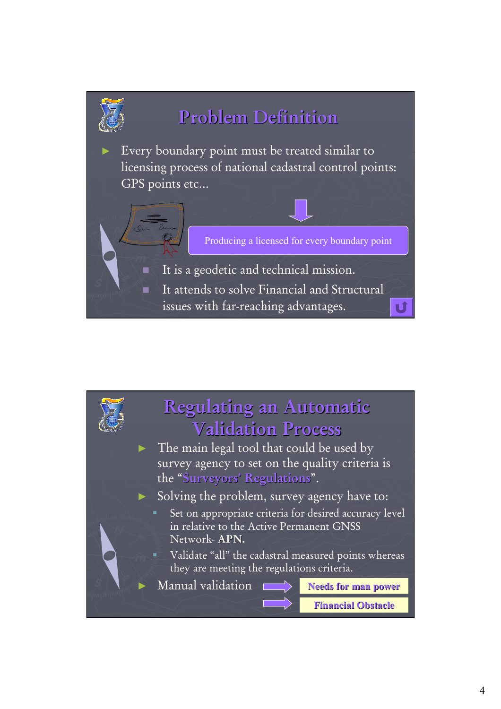

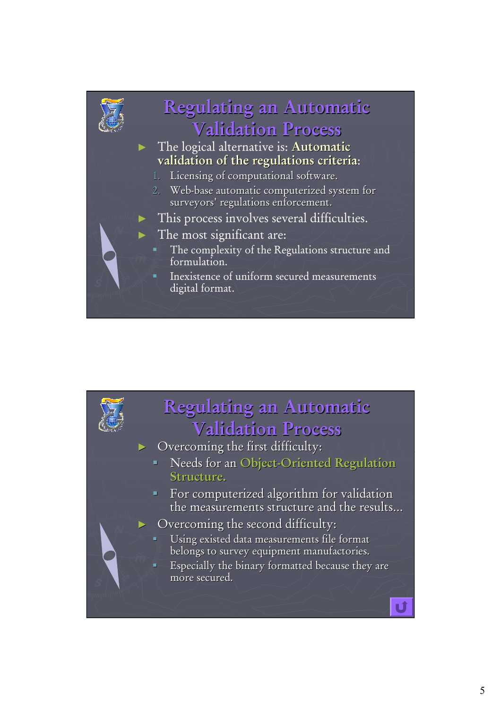

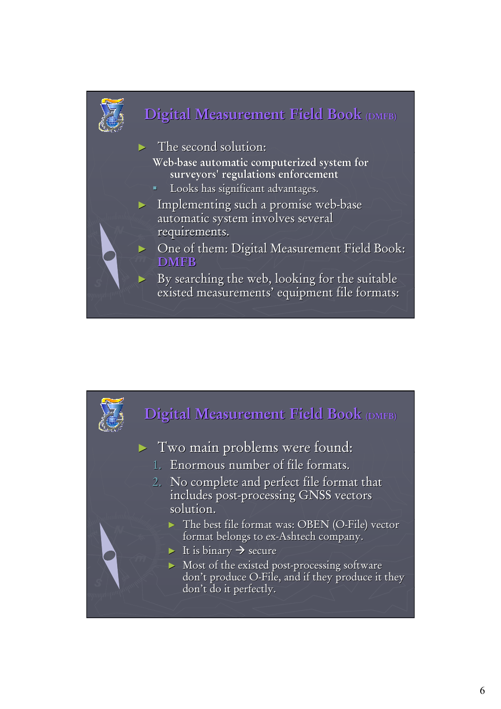

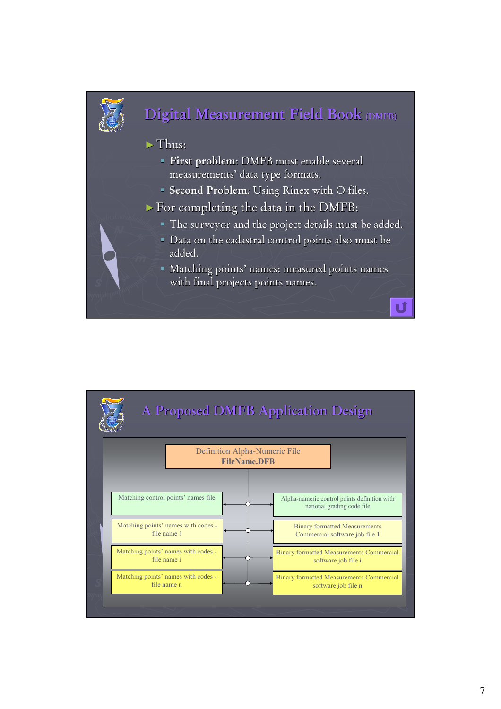

# **Digital Measurement Field Book (DMFB)**

#### ►Thus:

- **First problem: DMFB must enable several** measurements' data type formats.
- **Second Problem:** Using Rinex with O-files.
- $\triangleright$  For completing the data in the DMFB:
	- The surveyor and the project details must be added.
	- Data on the cadastral control points also must be added.
	- Matching points' names: measured points names with final projects points names.

đ

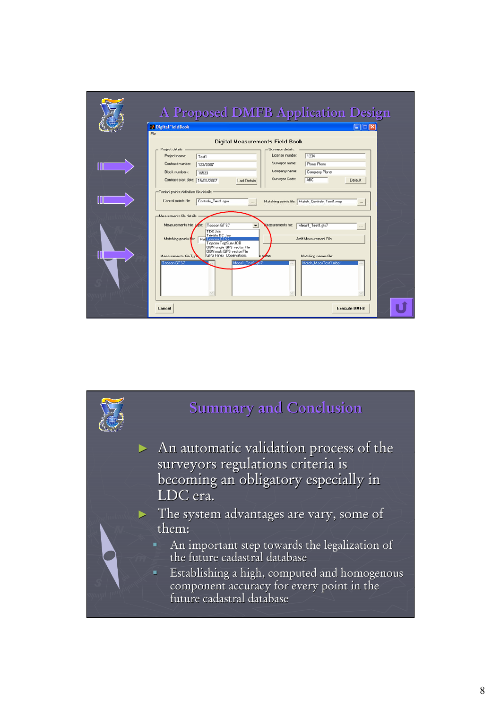|                                                | A Proposed DMFB Application Design                                                                                                                                                                             |                                                     |
|------------------------------------------------|----------------------------------------------------------------------------------------------------------------------------------------------------------------------------------------------------------------|-----------------------------------------------------|
|                                                | DigitalFieldBook                                                                                                                                                                                               | $\square$ $\times$<br>۳                             |
| File<br><b>Digital Measurements Field Book</b> |                                                                                                                                                                                                                |                                                     |
|                                                | Project details<br>Surveyor details                                                                                                                                                                            |                                                     |
|                                                | License number:<br>Project name:<br>Test1                                                                                                                                                                      | 1234                                                |
|                                                | Surveyor name:<br>Contract number:<br>123/2007                                                                                                                                                                 | Plone Plone                                         |
|                                                | Company name:<br>Block numbers:<br>16533                                                                                                                                                                       | Company Plone                                       |
|                                                | Surveyor Code:<br>Contract start date: 15/01/2007<br>Last Details                                                                                                                                              | ABC<br><b>Detault</b>                               |
|                                                | -Control points definition file details<br>Control points file:<br>Controle Test1.con<br>Matching points file: Match_Controls_Test1.mcp<br>$\sim$                                                              |                                                     |
|                                                | Me asuments file details<br>Measurements File Tode:<br>Topcon GTS7<br>easurements hie:<br>٠<br>TDS Job                                                                                                         | Meas1_Test1.gts7<br>$\sim$                          |
|                                                | Trimble DC Job<br>Matching points for<br>Mat Topcon GT S7<br>Topcon TopSurv JOB<br>OIBN single GPS vector File<br><b>OBN</b> multi GPS vector File<br><b>GPS Rinex Ubservations</b><br>Measurements' file Tupe | <b>Add Measurement File</b><br>Matching names file: |
|                                                | nzme:<br>Topcon GTS7<br>Meast Test                                                                                                                                                                             | Match MeasTest1.mbo                                 |
|                                                | Cancel                                                                                                                                                                                                         | <b>Execute DMFB</b>                                 |

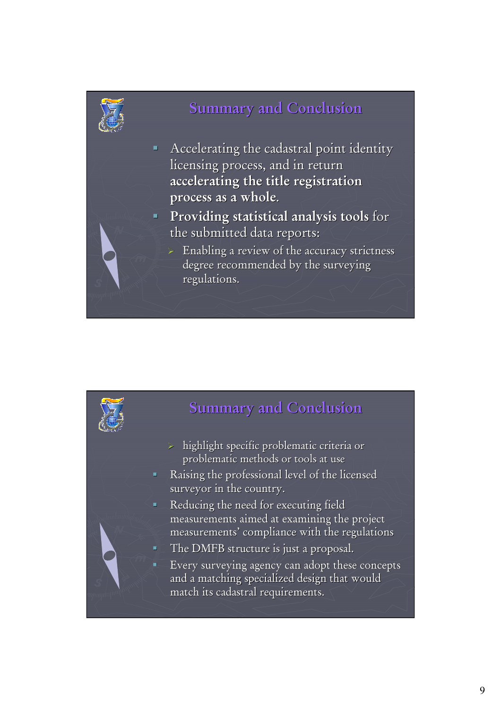

### **Summary and Conclusion**

- $\blacksquare$  Accelerating the cadastral point identity licensing process, and in return **accelerating the title registration accelerating the title process as a whole process as a whole**.
- **Providing statistical analysis tools** for the submitted data reports:
	- Enabling a review of the accuracy strictness degree recommended by the surveying regulations.